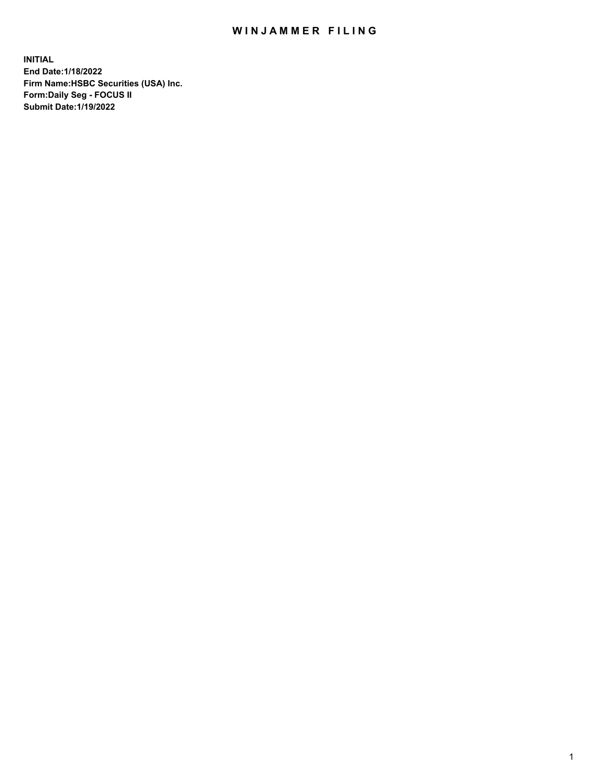## WIN JAMMER FILING

**INITIAL End Date:1/18/2022 Firm Name:HSBC Securities (USA) Inc. Form:Daily Seg - FOCUS II Submit Date:1/19/2022**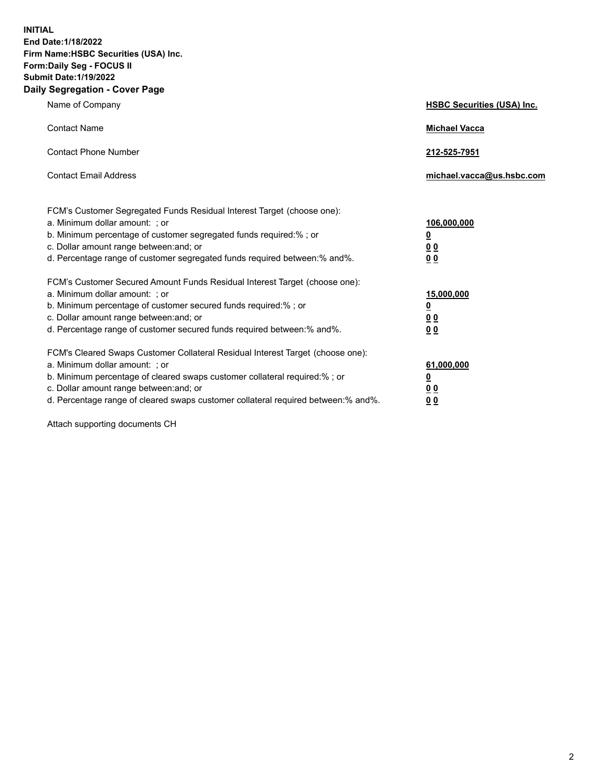**INITIAL End Date:1/18/2022 Firm Name:HSBC Securities (USA) Inc. Form:Daily Seg - FOCUS II Submit Date:1/19/2022 Daily Segregation - Cover Page**

| Name of Company                                                                                                                                                                                                                                                                                                               | <b>HSBC Securities (USA) Inc.</b>                           |
|-------------------------------------------------------------------------------------------------------------------------------------------------------------------------------------------------------------------------------------------------------------------------------------------------------------------------------|-------------------------------------------------------------|
| <b>Contact Name</b>                                                                                                                                                                                                                                                                                                           | <b>Michael Vacca</b>                                        |
| <b>Contact Phone Number</b>                                                                                                                                                                                                                                                                                                   | 212-525-7951                                                |
| <b>Contact Email Address</b>                                                                                                                                                                                                                                                                                                  | michael.vacca@us.hsbc.com                                   |
| FCM's Customer Segregated Funds Residual Interest Target (choose one):<br>a. Minimum dollar amount: ; or<br>b. Minimum percentage of customer segregated funds required:% ; or<br>c. Dollar amount range between: and; or<br>d. Percentage range of customer segregated funds required between:% and%.                        | 106,000,000<br><u>0</u><br>0 <sub>0</sub><br>0 <sub>0</sub> |
| FCM's Customer Secured Amount Funds Residual Interest Target (choose one):<br>a. Minimum dollar amount: ; or<br>b. Minimum percentage of customer secured funds required:%; or<br>c. Dollar amount range between: and; or<br>d. Percentage range of customer secured funds required between: % and %.                         | 15,000,000<br><u>0</u><br>0 <sub>0</sub><br>0 <sub>0</sub>  |
| FCM's Cleared Swaps Customer Collateral Residual Interest Target (choose one):<br>a. Minimum dollar amount: : or<br>b. Minimum percentage of cleared swaps customer collateral required:%; or<br>c. Dollar amount range between: and; or<br>d. Percentage range of cleared swaps customer collateral required between:% and%. | 61,000,000<br><u>0</u><br>00<br>00                          |

Attach supporting documents CH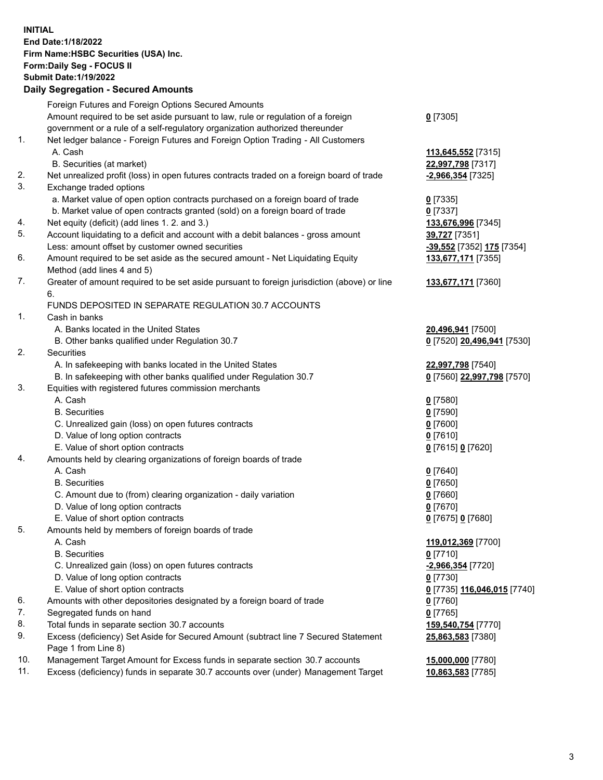**INITIAL End Date:1/18/2022 Firm Name:HSBC Securities (USA) Inc. Form:Daily Seg - FOCUS II Submit Date:1/19/2022 Daily Segregation - Secured Amounts** Foreign Futures and Foreign Options Secured Amounts Amount required to be set aside pursuant to law, rule or regulation of a foreign government or a rule of a self-regulatory organization authorized thereunder **0** [7305] 1. Net ledger balance - Foreign Futures and Foreign Option Trading - All Customers A. Cash **113,645,552** [7315] B. Securities (at market) **22,997,798** [7317] 2. Net unrealized profit (loss) in open futures contracts traded on a foreign board of trade **-2,966,354** [7325] 3. Exchange traded options a. Market value of open option contracts purchased on a foreign board of trade **0** [7335] b. Market value of open contracts granted (sold) on a foreign board of trade **0** [7337] 4. Net equity (deficit) (add lines 1. 2. and 3.) **133,676,996** [7345] 5. Account liquidating to a deficit and account with a debit balances - gross amount **39,727** [7351] Less: amount offset by customer owned securities **-39,552** [7352] **175** [7354] 6. Amount required to be set aside as the secured amount - Net Liquidating Equity Method (add lines 4 and 5) **133,677,171** [7355] 7. Greater of amount required to be set aside pursuant to foreign jurisdiction (above) or line 6. **133,677,171** [7360] FUNDS DEPOSITED IN SEPARATE REGULATION 30.7 ACCOUNTS 1. Cash in banks A. Banks located in the United States **20,496,941** [7500] B. Other banks qualified under Regulation 30.7 **0** [7520] **20,496,941** [7530] 2. Securities A. In safekeeping with banks located in the United States **22,997,798** [7540] B. In safekeeping with other banks qualified under Regulation 30.7 **0** [7560] **22,997,798** [7570] 3. Equities with registered futures commission merchants A. Cash **0** [7580] B. Securities **0** [7590] C. Unrealized gain (loss) on open futures contracts **0** [7600] D. Value of long option contracts **0** [7610] E. Value of short option contracts **0** [7615] **0** [7620] 4. Amounts held by clearing organizations of foreign boards of trade A. Cash **0** [7640] B. Securities **0** [7650] C. Amount due to (from) clearing organization - daily variation **0** [7660] D. Value of long option contracts **0** [7670] E. Value of short option contracts **0** [7675] **0** [7680] 5. Amounts held by members of foreign boards of trade A. Cash **119,012,369** [7700] B. Securities **0** [7710] C. Unrealized gain (loss) on open futures contracts **-2,966,354** [7720] D. Value of long option contracts **0** [7730] E. Value of short option contracts **0** [7735] **116,046,015** [7740] 6. Amounts with other depositories designated by a foreign board of trade **0** [7760]

- 7. Segregated funds on hand **0** [7765]
- 
- 8. Total funds in separate section 30.7 accounts **159,540,754** [7770] 9. Excess (deficiency) Set Aside for Secured Amount (subtract line 7 Secured Statement Page 1 from Line 8)
- 10. Management Target Amount for Excess funds in separate section 30.7 accounts **15,000,000** [7780]
- 11. Excess (deficiency) funds in separate 30.7 accounts over (under) Management Target **10,863,583** [7785]

**25,863,583** [7380]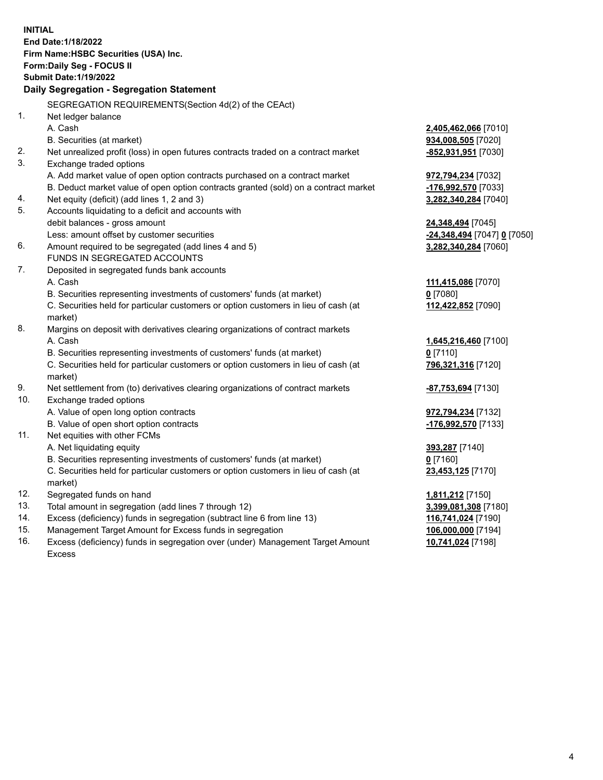**INITIAL End Date:1/18/2022 Firm Name:HSBC Securities (USA) Inc. Form:Daily Seg - FOCUS II Submit Date:1/19/2022 Daily Segregation - Segregation Statement** SEGREGATION REQUIREMENTS(Section 4d(2) of the CEAct) 1. Net ledger balance A. Cash **2,405,462,066** [7010] B. Securities (at market) **934,008,505** [7020] 2. Net unrealized profit (loss) in open futures contracts traded on a contract market **-852,931,951** [7030] 3. Exchange traded options A. Add market value of open option contracts purchased on a contract market **972,794,234** [7032] B. Deduct market value of open option contracts granted (sold) on a contract market **-176,992,570** [7033] 4. Net equity (deficit) (add lines 1, 2 and 3) **3,282,340,284** [7040] 5. Accounts liquidating to a deficit and accounts with debit balances - gross amount **24,348,494** [7045] Less: amount offset by customer securities **-24,348,494** [7047] **0** [7050] 6. Amount required to be segregated (add lines 4 and 5) **3,282,340,284** [7060] FUNDS IN SEGREGATED ACCOUNTS 7. Deposited in segregated funds bank accounts A. Cash **111,415,086** [7070] B. Securities representing investments of customers' funds (at market) **0** [7080] C. Securities held for particular customers or option customers in lieu of cash (at market) **112,422,852** [7090] 8. Margins on deposit with derivatives clearing organizations of contract markets A. Cash **1,645,216,460** [7100] B. Securities representing investments of customers' funds (at market) **0** [7110] C. Securities held for particular customers or option customers in lieu of cash (at market) **796,321,316** [7120] 9. Net settlement from (to) derivatives clearing organizations of contract markets **-87,753,694** [7130] 10. Exchange traded options A. Value of open long option contracts **972,794,234** [7132] B. Value of open short option contracts **-176,992,570** [7133] 11. Net equities with other FCMs A. Net liquidating equity **393,287** [7140] B. Securities representing investments of customers' funds (at market) **0** [7160] C. Securities held for particular customers or option customers in lieu of cash (at market) **23,453,125** [7170] 12. Segregated funds on hand **1,811,212** [7150] 13. Total amount in segregation (add lines 7 through 12) **3,399,081,308** [7180] 14. Excess (deficiency) funds in segregation (subtract line 6 from line 13) **116,741,024** [7190] 15. Management Target Amount for Excess funds in segregation **106,000,000** [7194]

16. Excess (deficiency) funds in segregation over (under) Management Target Amount Excess

**10,741,024** [7198]